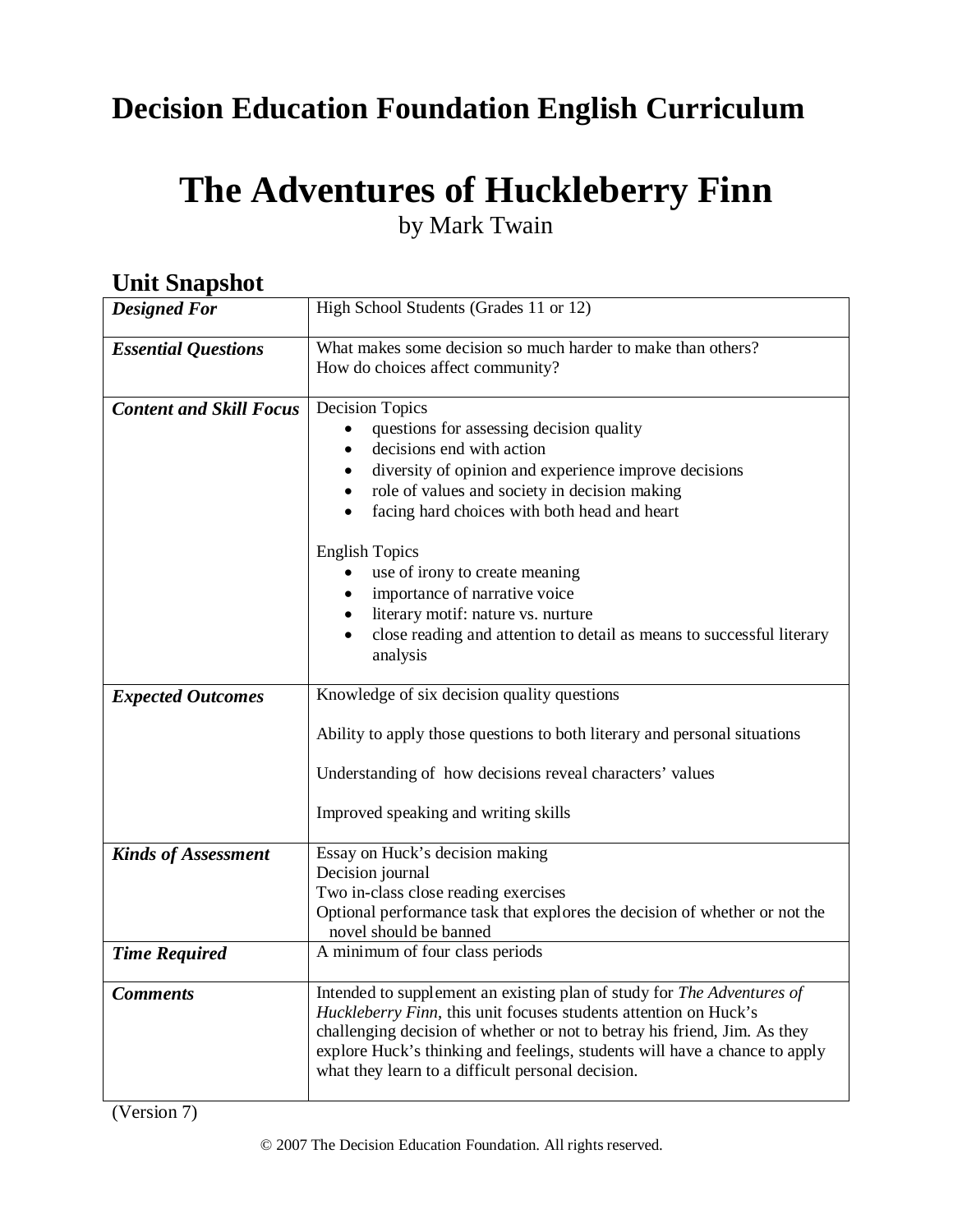# **Decision Education Foundation English Curriculum**

# **The Adventures of Huckleberry Finn**

by Mark Twain

| они энармос                    |                                                                                                                                                         |  |
|--------------------------------|---------------------------------------------------------------------------------------------------------------------------------------------------------|--|
| <b>Designed For</b>            | High School Students (Grades 11 or 12)                                                                                                                  |  |
| <b>Essential Questions</b>     | What makes some decision so much harder to make than others?                                                                                            |  |
|                                | How do choices affect community?                                                                                                                        |  |
|                                |                                                                                                                                                         |  |
| <b>Content and Skill Focus</b> | <b>Decision Topics</b>                                                                                                                                  |  |
|                                | questions for assessing decision quality                                                                                                                |  |
|                                | decisions end with action                                                                                                                               |  |
|                                | diversity of opinion and experience improve decisions                                                                                                   |  |
|                                | role of values and society in decision making<br>$\bullet$                                                                                              |  |
|                                | facing hard choices with both head and heart                                                                                                            |  |
|                                | <b>English Topics</b>                                                                                                                                   |  |
|                                | use of irony to create meaning                                                                                                                          |  |
|                                | importance of narrative voice                                                                                                                           |  |
|                                | literary motif: nature vs. nurture                                                                                                                      |  |
|                                | close reading and attention to detail as means to successful literary                                                                                   |  |
|                                | analysis                                                                                                                                                |  |
|                                |                                                                                                                                                         |  |
| <b>Expected Outcomes</b>       | Knowledge of six decision quality questions                                                                                                             |  |
|                                | Ability to apply those questions to both literary and personal situations                                                                               |  |
|                                | Understanding of how decisions reveal characters' values                                                                                                |  |
|                                | Improved speaking and writing skills                                                                                                                    |  |
| <b>Kinds of Assessment</b>     | Essay on Huck's decision making                                                                                                                         |  |
|                                | Decision journal                                                                                                                                        |  |
|                                | Two in-class close reading exercises                                                                                                                    |  |
|                                | Optional performance task that explores the decision of whether or not the<br>novel should be banned                                                    |  |
| <b>Time Required</b>           | A minimum of four class periods                                                                                                                         |  |
|                                |                                                                                                                                                         |  |
| <b>Comments</b>                | Intended to supplement an existing plan of study for The Adventures of                                                                                  |  |
|                                | Huckleberry Finn, this unit focuses students attention on Huck's                                                                                        |  |
|                                | challenging decision of whether or not to betray his friend, Jim. As they<br>explore Huck's thinking and feelings, students will have a chance to apply |  |
|                                | what they learn to a difficult personal decision.                                                                                                       |  |
|                                |                                                                                                                                                         |  |

# *Unit Snanshot*

(Version 7)

© 2007 The Decision Education Foundation. All rights reserved.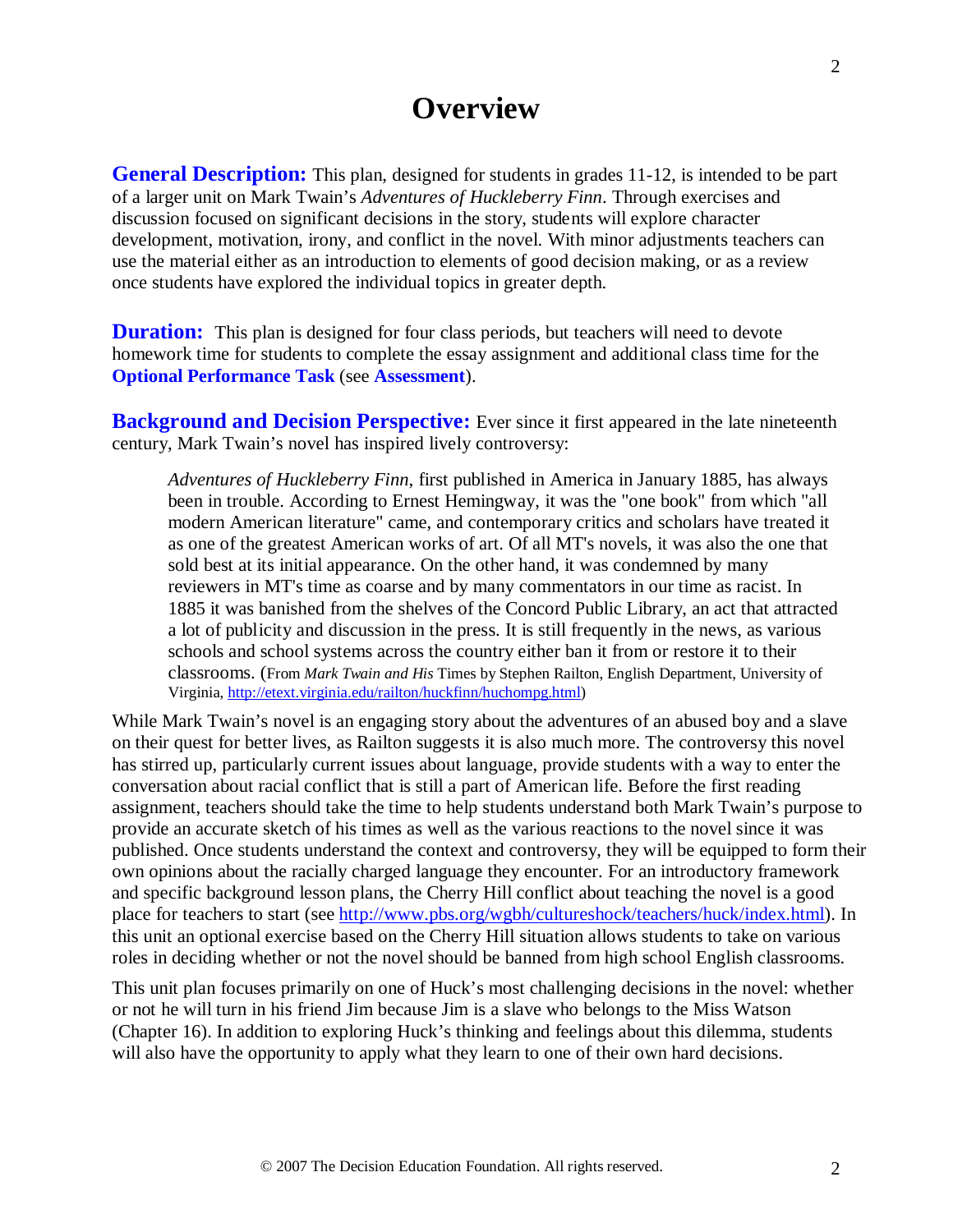# **Overview**

**General Description:** This plan, designed for students in grades 11-12, is intended to be part of a larger unit on Mark Twain's *Adventures of Huckleberry Finn*. Through exercises and discussion focused on significant decisions in the story, students will explore character development, motivation, irony, and conflict in the novel. With minor adjustments teachers can use the material either as an introduction to elements of good decision making, or as a review once students have explored the individual topics in greater depth.

**Duration:** This plan is designed for four class periods, but teachers will need to devote homework time for students to complete the essay assignment and additional class time for the **Optional Performance Task** (see **Assessment**).

**Background and Decision Perspective:** Ever since it first appeared in the late nineteenth century, Mark Twain's novel has inspired lively controversy:

*Adventures of Huckleberry Finn*, first published in America in January 1885, has always been in trouble. According to Ernest Hemingway, it was the "one book" from which "all modern American literature" came, and contemporary critics and scholars have treated it as one of the greatest American works of art. Of all MT's novels, it was also the one that sold best at its initial appearance. On the other hand, it was condemned by many reviewers in MT's time as coarse and by many commentators in our time as racist. In 1885 it was banished from the shelves of the Concord Public Library, an act that attracted a lot of publicity and discussion in the press. It is still frequently in the news, as various schools and school systems across the country either ban it from or restore it to their classrooms. (From *Mark Twain and His* Times by Stephen Railton, English Department, University of Virginia, [http://etext.virginia.edu/railton/huckfinn/huchompg.html\)](http://etext.virginia.edu/railton/huckfinn/huchompg.html)

While Mark Twain's novel is an engaging story about the adventures of an abused boy and a slave on their quest for better lives, as Railton suggests it is also much more. The controversy this novel has stirred up, particularly current issues about language, provide students with a way to enter the conversation about racial conflict that is still a part of American life. Before the first reading assignment, teachers should take the time to help students understand both Mark Twain's purpose to provide an accurate sketch of his times as well as the various reactions to the novel since it was published. Once students understand the context and controversy, they will be equipped to form their own opinions about the racially charged language they encounter. For an introductory framework and specific background lesson plans, the Cherry Hill conflict about teaching the novel is a good place for teachers to start (see [http://www.pbs.org/wgbh/cultureshock/teachers/huck/index.html\)](http://www.pbs.org/wgbh/cultureshock/teachers/huck/index.html). In this unit an optional exercise based on the Cherry Hill situation allows students to take on various roles in deciding whether or not the novel should be banned from high school English classrooms.

This unit plan focuses primarily on one of Huck's most challenging decisions in the novel: whether or not he will turn in his friend Jim because Jim is a slave who belongs to the Miss Watson (Chapter 16). In addition to exploring Huck's thinking and feelings about this dilemma, students will also have the opportunity to apply what they learn to one of their own hard decisions.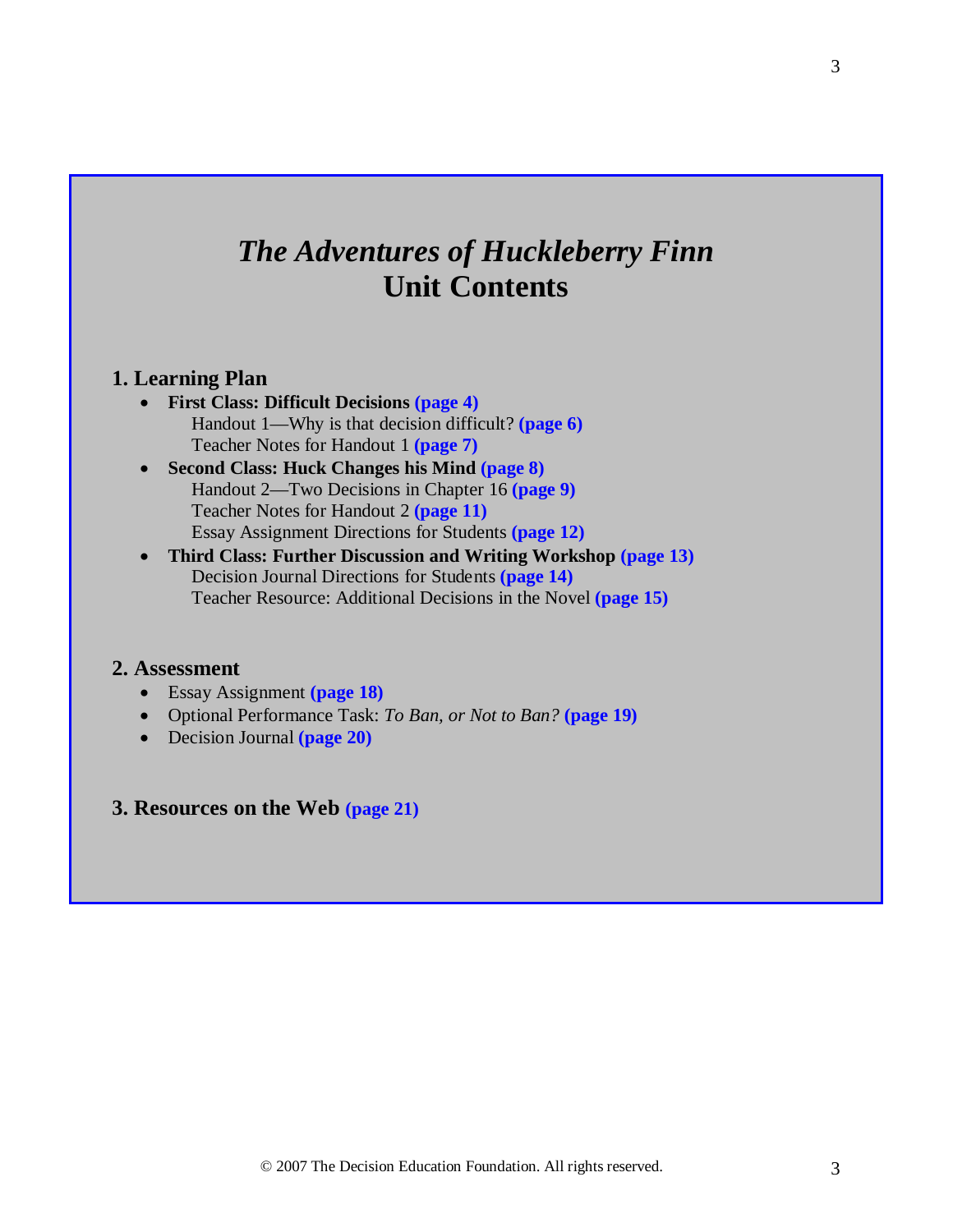# *The Adventures of Huckleberry Finn*  **Unit Contents**

#### **1. Learning Plan**

- **First Class: Difficult Decisions (page 4)** Handout 1—Why is that decision difficult? **(page 6)** Teacher Notes for Handout 1 **(page 7)**
- **Second Class: Huck Changes his Mind (page 8)** Handout 2—Two Decisions in Chapter 16 **(page 9)** Teacher Notes for Handout 2 **(page 11)** Essay Assignment Directions for Students **(page 12)**
- **Third Class: Further Discussion and Writing Workshop (page 13)** Decision Journal Directions for Students **(page 14)** Teacher Resource: Additional Decisions in the Novel **(page 15)**

#### **2. Assessment**

- Essay Assignment **(page 18)**
- Optional Performance Task: *To Ban, or Not to Ban?* **(page 19)**
- Decision Journal **(page 20)**
- **3. Resources on the Web (page 21)**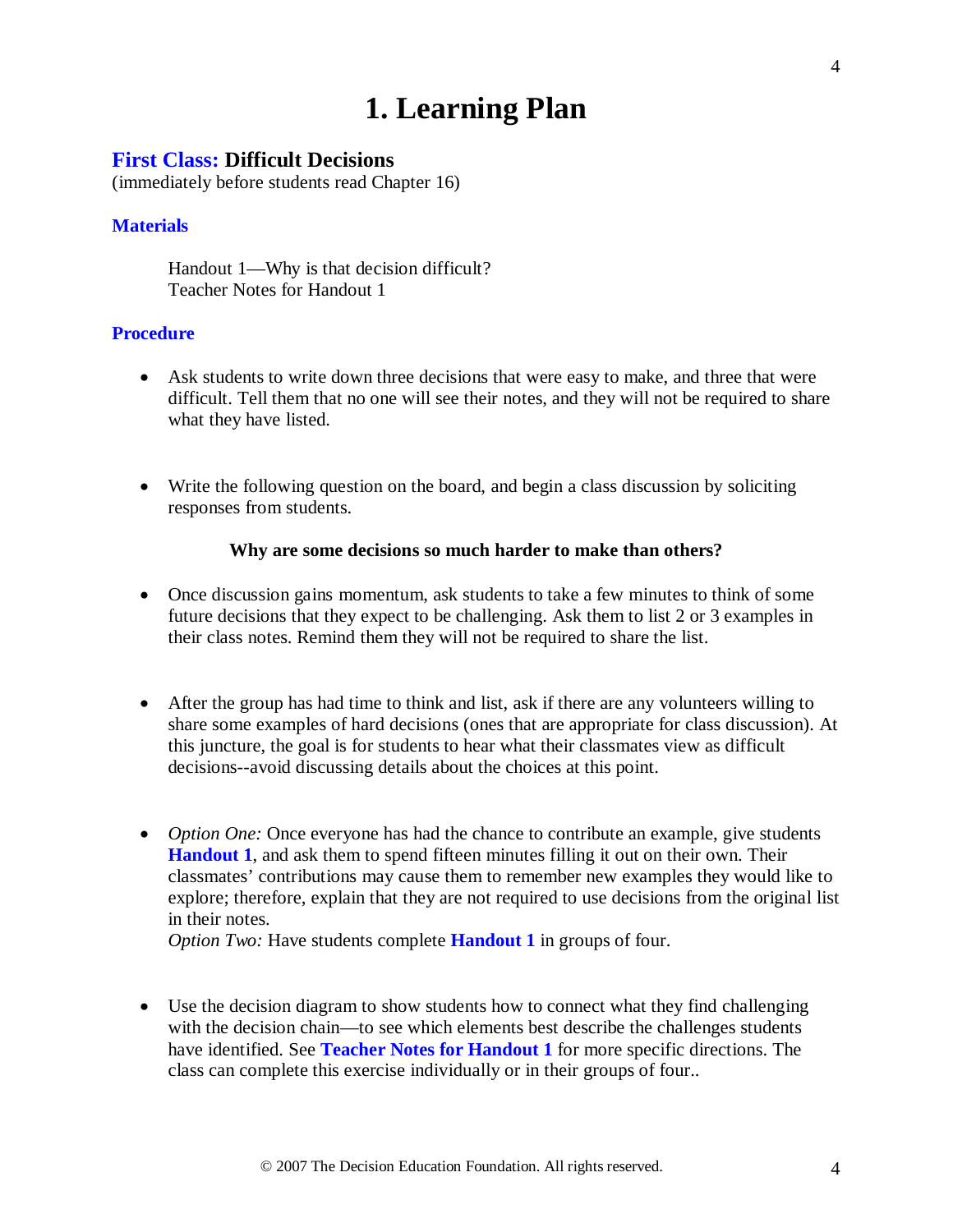# **1. Learning Plan**

#### **First Class: Difficult Decisions**

(immediately before students read Chapter 16)

#### **Materials**

Handout 1—Why is that decision difficult? Teacher Notes for Handout 1

#### **Procedure**

- Ask students to write down three decisions that were easy to make, and three that were difficult. Tell them that no one will see their notes, and they will not be required to share what they have listed.
- Write the following question on the board, and begin a class discussion by soliciting responses from students.

#### **Why are some decisions so much harder to make than others?**

- Once discussion gains momentum, ask students to take a few minutes to think of some future decisions that they expect to be challenging. Ask them to list 2 or 3 examples in their class notes. Remind them they will not be required to share the list.
- After the group has had time to think and list, ask if there are any volunteers willing to share some examples of hard decisions (ones that are appropriate for class discussion). At this juncture, the goal is for students to hear what their classmates view as difficult decisions--avoid discussing details about the choices at this point.
- *Option One:* Once everyone has had the chance to contribute an example, give students **Handout 1**, and ask them to spend fifteen minutes filling it out on their own. Their classmates' contributions may cause them to remember new examples they would like to explore; therefore, explain that they are not required to use decisions from the original list in their notes.

*Option Two:* Have students complete **Handout 1** in groups of four.

• Use the decision diagram to show students how to connect what they find challenging with the decision chain—to see which elements best describe the challenges students have identified. See **Teacher Notes for Handout 1** for more specific directions. The class can complete this exercise individually or in their groups of four..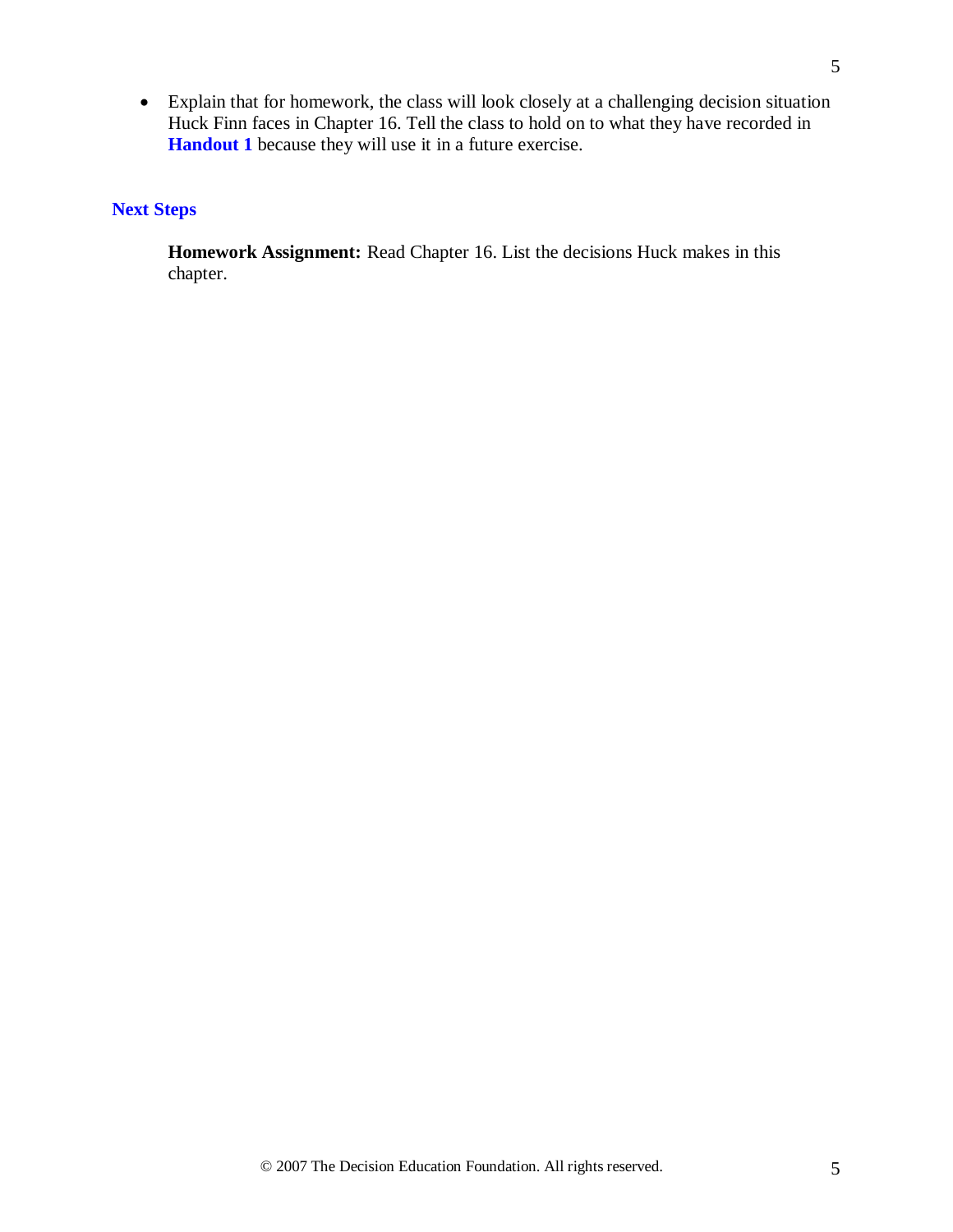• Explain that for homework, the class will look closely at a challenging decision situation Huck Finn faces in Chapter 16. Tell the class to hold on to what they have recorded in **Handout 1** because they will use it in a future exercise.

### **Next Steps**

**Homework Assignment:** Read Chapter 16. List the decisions Huck makes in this chapter.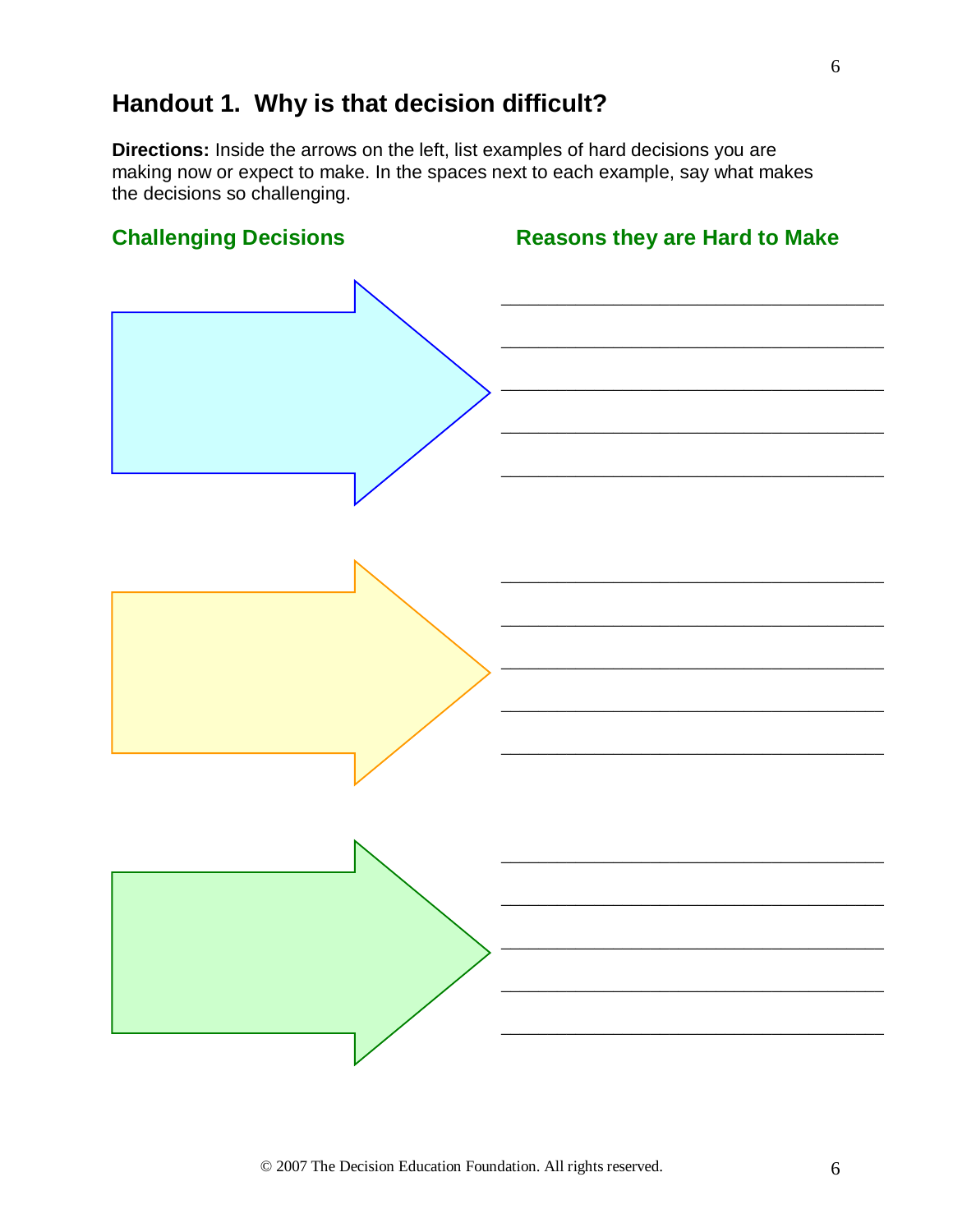# **Handout 1. Why is that decision difficult?**

**Directions:** Inside the arrows on the left, list examples of hard decisions you are making now or expect to make. In the spaces next to each example, say what makes the decisions so challenging.



6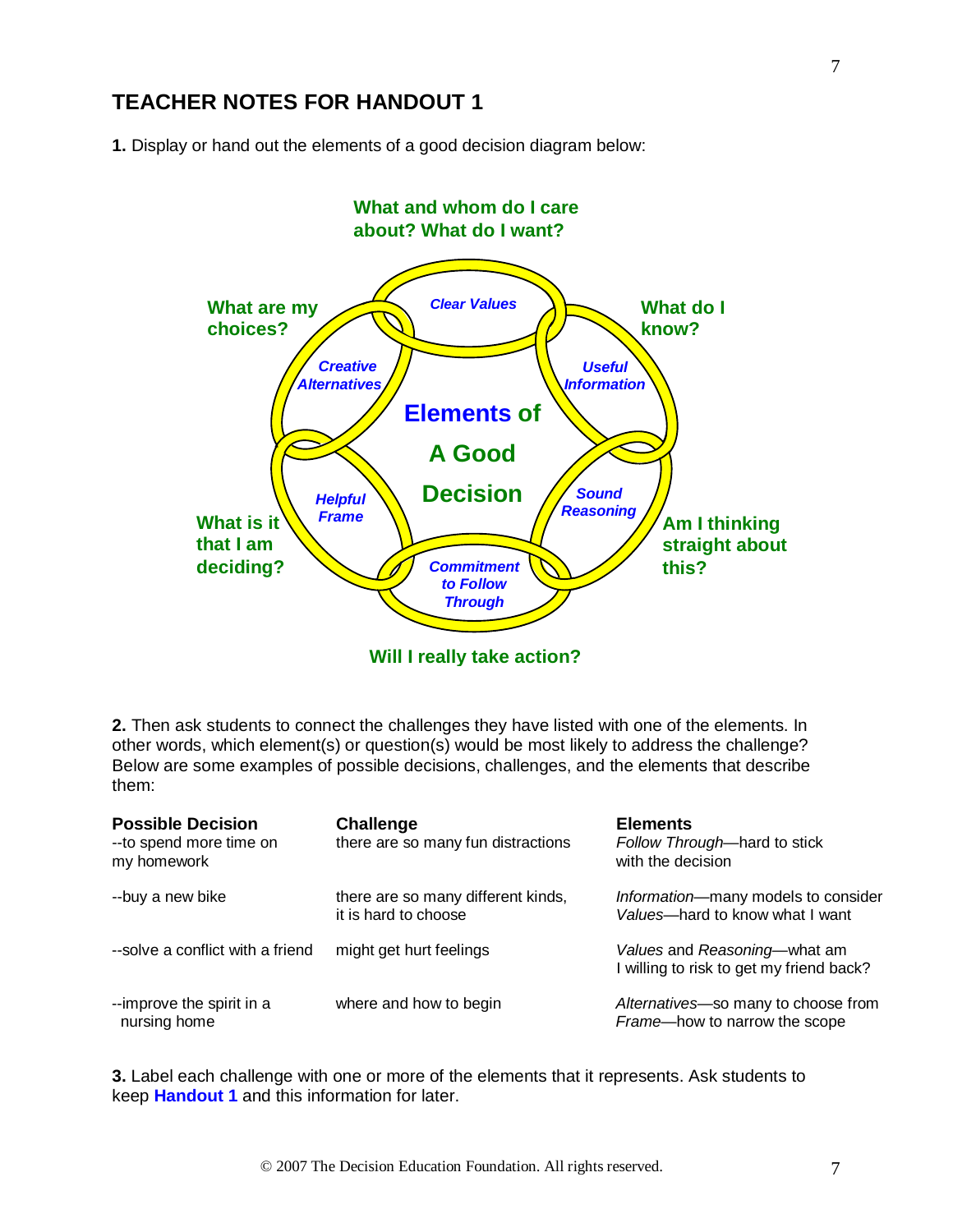### **TEACHER NOTES FOR HANDOUT 1**

**1.** Display or hand out the elements of a good decision diagram below:



**Will I really take action?**

**2.** Then ask students to connect the challenges they have listed with one of the elements. In other words, which element(s) or question(s) would be most likely to address the challenge? Below are some examples of possible decisions, challenges, and the elements that describe them:

| <b>Possible Decision</b><br>-- to spend more time on<br>my homework | <b>Challenge</b><br>there are so many fun distractions     | <b>Elements</b><br>Follow Through-hard to stick<br>with the decision     |
|---------------------------------------------------------------------|------------------------------------------------------------|--------------------------------------------------------------------------|
| --buy a new bike                                                    | there are so many different kinds,<br>it is hard to choose | Information-many models to consider<br>Values-hard to know what I want   |
| --solve a conflict with a friend                                    | might get hurt feelings                                    | Values and Reasoning—what am<br>I willing to risk to get my friend back? |
| --improve the spirit in a<br>nursing home                           | where and how to begin                                     | Alternatives-so many to choose from<br>Frame-how to narrow the scope     |

**3.** Label each challenge with one or more of the elements that it represents. Ask students to keep **Handout 1** and this information for later.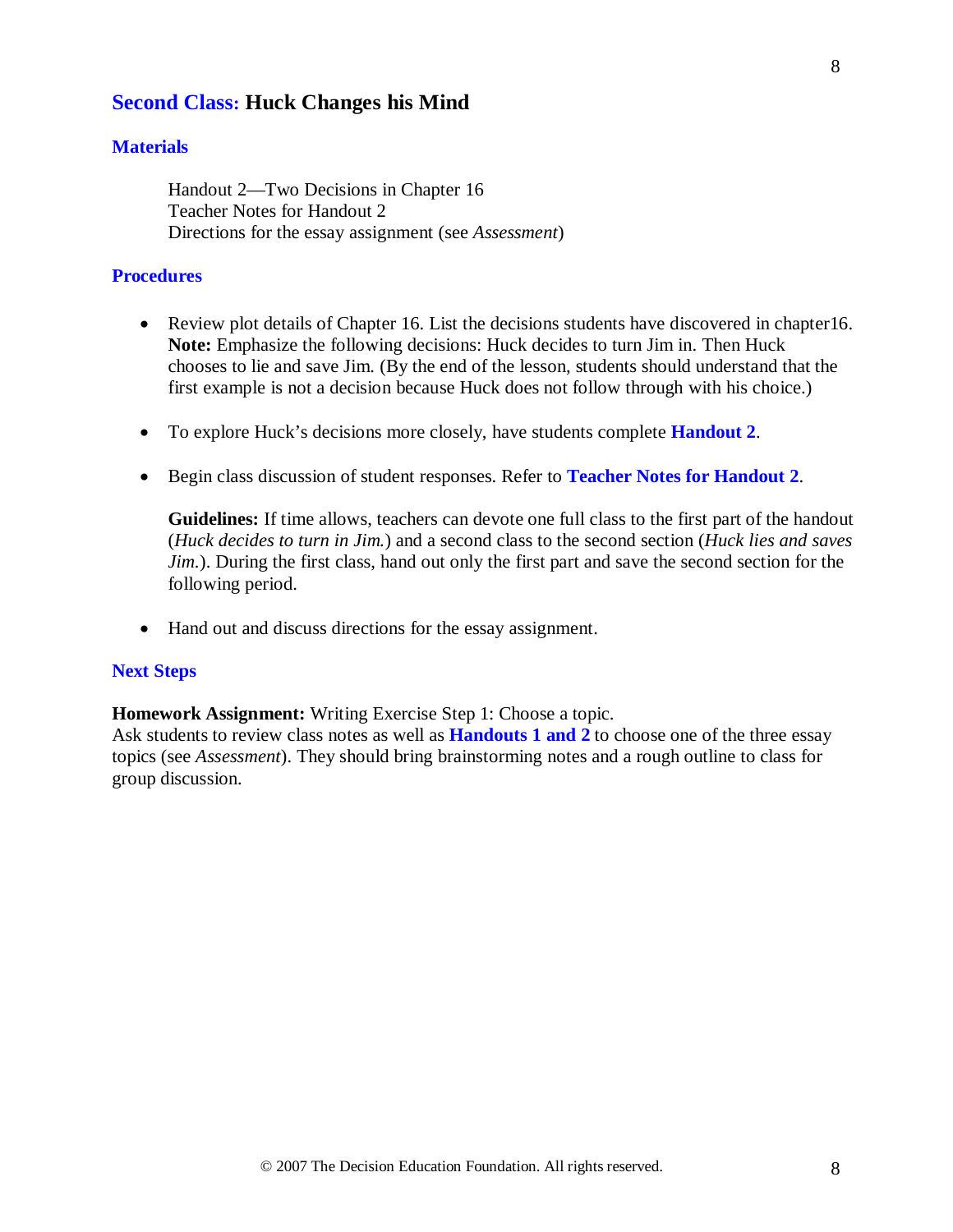### **Second Class: Huck Changes his Mind**

#### **Materials**

Handout 2—Two Decisions in Chapter 16 Teacher Notes for Handout 2 Directions for the essay assignment (see *Assessment*)

#### **Procedures**

- Review plot details of Chapter 16. List the decisions students have discovered in chapter 16. **Note:** Emphasize the following decisions: Huck decides to turn Jim in. Then Huck chooses to lie and save Jim. (By the end of the lesson, students should understand that the first example is not a decision because Huck does not follow through with his choice.)
- To explore Huck's decisions more closely, have students complete **Handout 2**.
- Begin class discussion of student responses. Refer to **Teacher Notes for Handout 2**.

**Guidelines:** If time allows, teachers can devote one full class to the first part of the handout (*Huck decides to turn in Jim.*) and a second class to the second section (*Huck lies and saves Jim.*). During the first class, hand out only the first part and save the second section for the following period.

• Hand out and discuss directions for the essay assignment.

#### **Next Steps**

**Homework Assignment:** Writing Exercise Step 1: Choose a topic.

Ask students to review class notes as well as **Handouts 1 and 2** to choose one of the three essay topics (see *Assessment*). They should bring brainstorming notes and a rough outline to class for group discussion.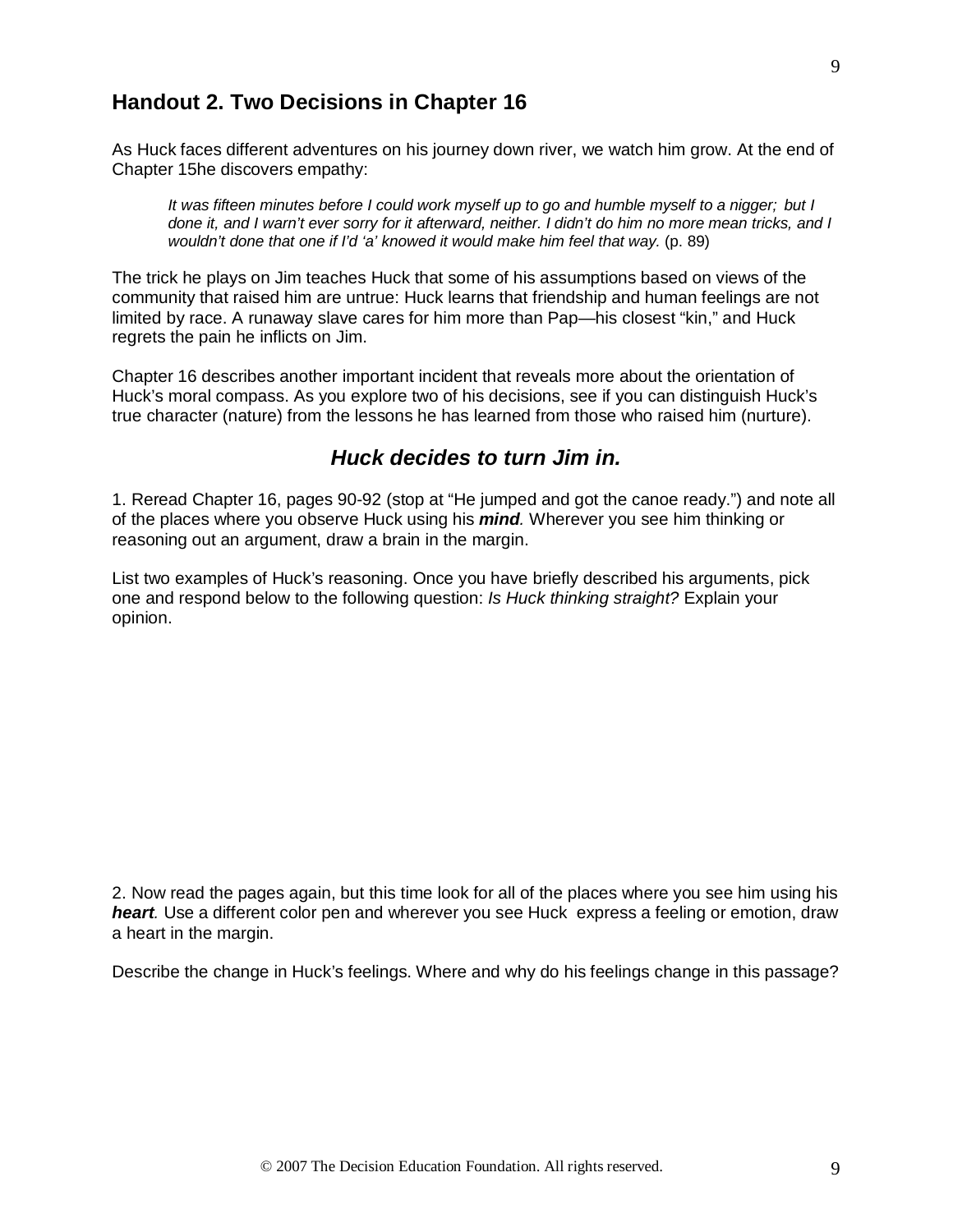### **Handout 2. Two Decisions in Chapter 16**

As Huck faces different adventures on his journey down river, we watch him grow. At the end of Chapter 15he discovers empathy:

*It was fifteen minutes before I could work myself up to go and humble myself to a nigger; but I done it, and I warn't ever sorry for it afterward, neither. I didn't do him no more mean tricks, and I wouldn't done that one if I'd 'a' knowed it would make him feel that way.* (p. 89)

The trick he plays on Jim teaches Huck that some of his assumptions based on views of the community that raised him are untrue: Huck learns that friendship and human feelings are not limited by race. A runaway slave cares for him more than Pap—his closest "kin," and Huck regrets the pain he inflicts on Jim.

Chapter 16 describes another important incident that reveals more about the orientation of Huck's moral compass. As you explore two of his decisions, see if you can distinguish Huck's true character (nature) from the lessons he has learned from those who raised him (nurture).

### *Huck decides to turn Jim in.*

1. Reread Chapter 16, pages 90-92 (stop at "He jumped and got the canoe ready.") and note all of the places where you observe Huck using his *mind.* Wherever you see him thinking or reasoning out an argument, draw a brain in the margin.

List two examples of Huck's reasoning. Once you have briefly described his arguments, pick one and respond below to the following question: *Is Huck thinking straight?* Explain your opinion.

2. Now read the pages again, but this time look for all of the places where you see him using his *heart.* Use a different color pen and wherever you see Huck express a feeling or emotion, draw a heart in the margin.

Describe the change in Huck's feelings. Where and why do his feelings change in this passage?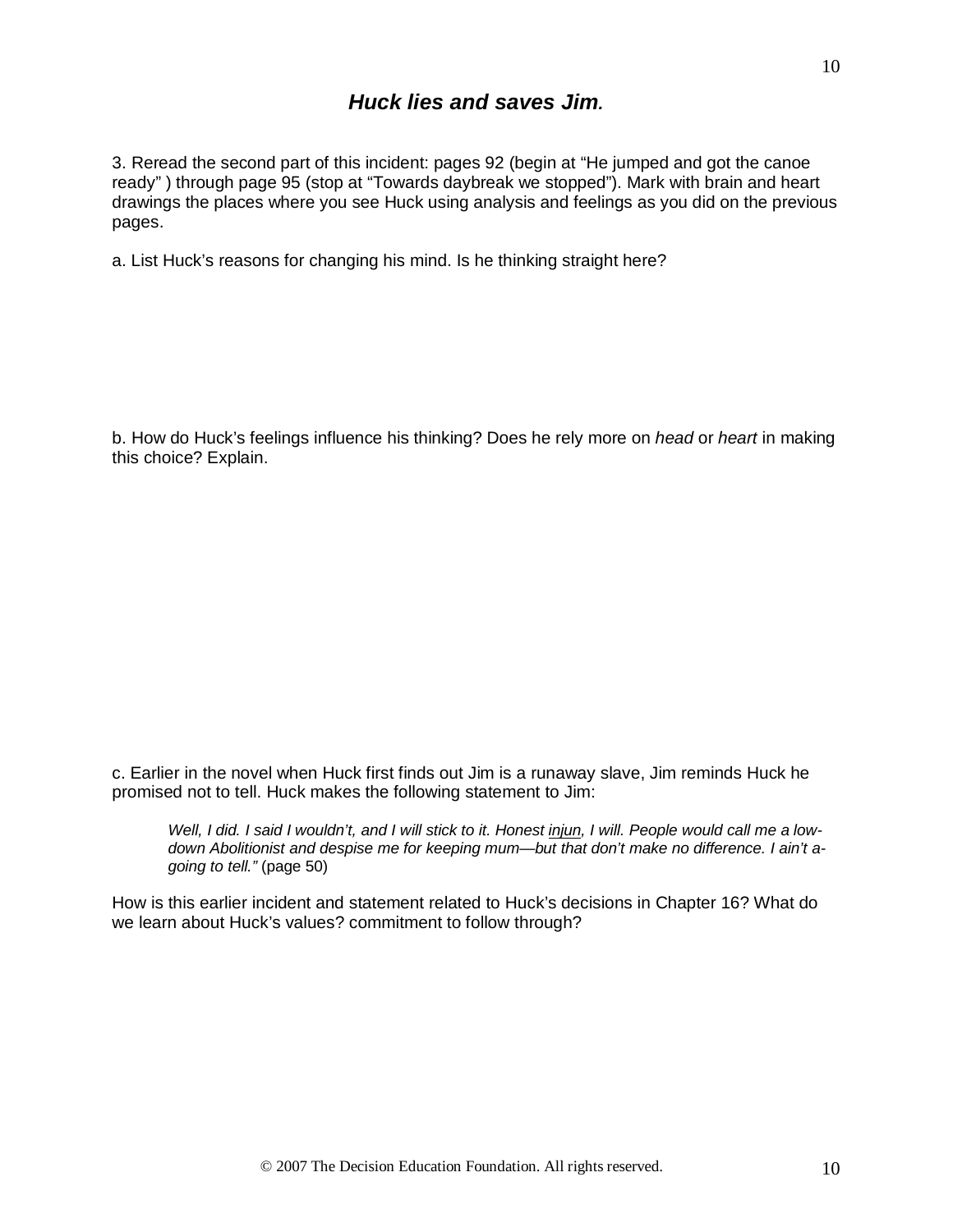3. Reread the second part of this incident: pages 92 (begin at "He jumped and got the canoe ready" ) through page 95 (stop at "Towards daybreak we stopped"). Mark with brain and heart drawings the places where you see Huck using analysis and feelings as you did on the previous pages.

a. List Huck's reasons for changing his mind. Is he thinking straight here?

b. How do Huck's feelings influence his thinking? Does he rely more on *head* or *heart* in making this choice? Explain.

c. Earlier in the novel when Huck first finds out Jim is a runaway slave, Jim reminds Huck he promised not to tell. Huck makes the following statement to Jim:

Well, I did. I said I wouldn't, and I will stick to it. Honest *injun*, I will. People would call me a low*down Abolitionist and despise me for keeping mum—but that don't make no difference. I ain't agoing to tell."* (page 50)

How is this earlier incident and statement related to Huck's decisions in Chapter 16? What do we learn about Huck's values? commitment to follow through?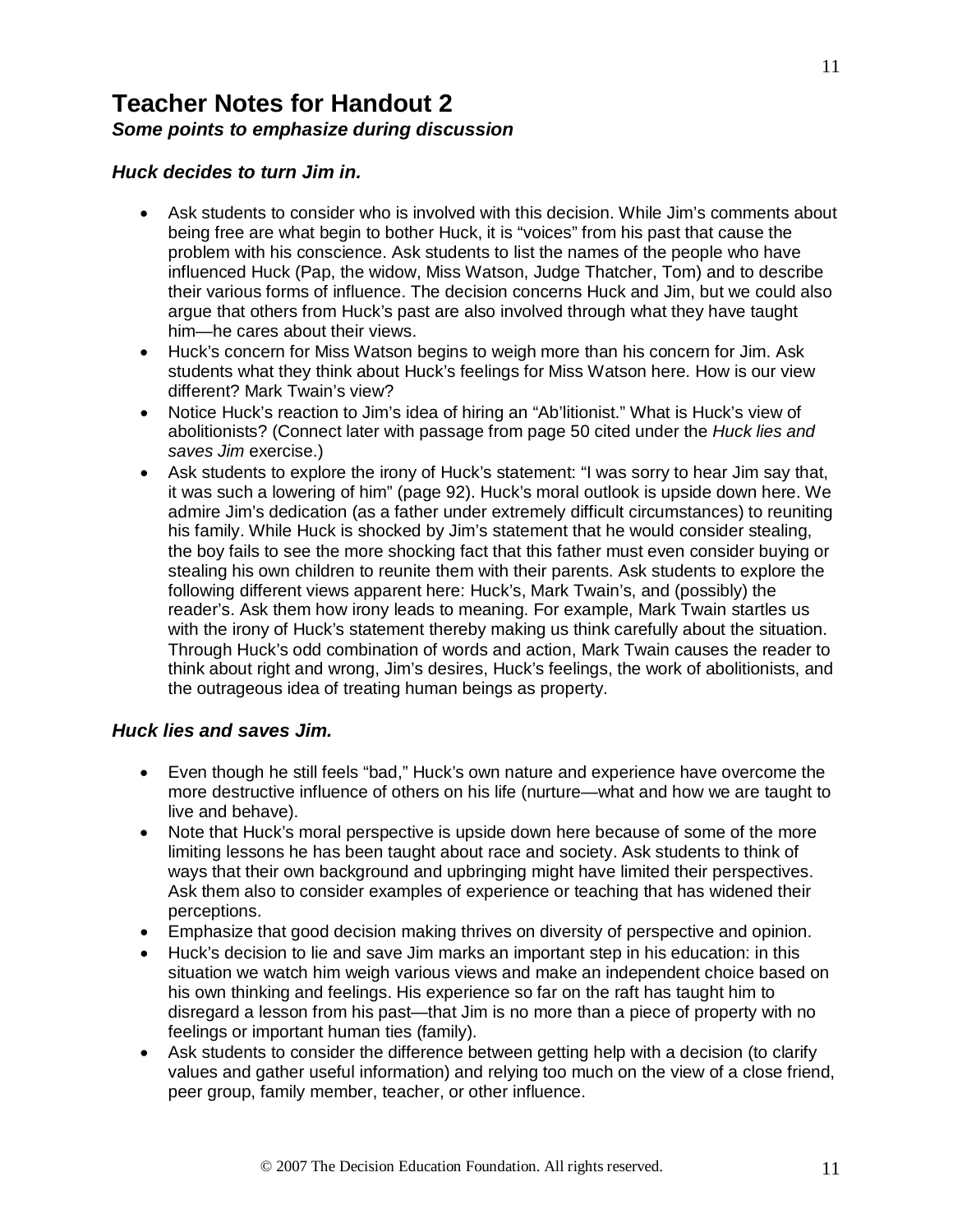## **Teacher Notes for Handout 2** *Some points to emphasize during discussion*

#### *Huck decides to turn Jim in.*

- Ask students to consider who is involved with this decision. While Jim's comments about being free are what begin to bother Huck, it is "voices" from his past that cause the problem with his conscience. Ask students to list the names of the people who have influenced Huck (Pap, the widow, Miss Watson, Judge Thatcher, Tom) and to describe their various forms of influence. The decision concerns Huck and Jim, but we could also argue that others from Huck's past are also involved through what they have taught him—he cares about their views.
- Huck's concern for Miss Watson begins to weigh more than his concern for Jim. Ask students what they think about Huck's feelings for Miss Watson here. How is our view different? Mark Twain's view?
- Notice Huck's reaction to Jim's idea of hiring an "Ab'litionist." What is Huck's view of abolitionists? (Connect later with passage from page 50 cited under the *Huck lies and saves Jim* exercise.)
- Ask students to explore the irony of Huck's statement: "I was sorry to hear Jim say that, it was such a lowering of him" (page 92). Huck's moral outlook is upside down here. We admire Jim's dedication (as a father under extremely difficult circumstances) to reuniting his family. While Huck is shocked by Jim's statement that he would consider stealing, the boy fails to see the more shocking fact that this father must even consider buying or stealing his own children to reunite them with their parents. Ask students to explore the following different views apparent here: Huck's, Mark Twain's, and (possibly) the reader's. Ask them how irony leads to meaning. For example, Mark Twain startles us with the irony of Huck's statement thereby making us think carefully about the situation. Through Huck's odd combination of words and action, Mark Twain causes the reader to think about right and wrong, Jim's desires, Huck's feelings, the work of abolitionists, and the outrageous idea of treating human beings as property.

#### *Huck lies and saves Jim.*

- Even though he still feels "bad," Huck's own nature and experience have overcome the more destructive influence of others on his life (nurture—what and how we are taught to live and behave).
- Note that Huck's moral perspective is upside down here because of some of the more limiting lessons he has been taught about race and society. Ask students to think of ways that their own background and upbringing might have limited their perspectives. Ask them also to consider examples of experience or teaching that has widened their perceptions.
- Emphasize that good decision making thrives on diversity of perspective and opinion.
- Huck's decision to lie and save Jim marks an important step in his education: in this situation we watch him weigh various views and make an independent choice based on his own thinking and feelings. His experience so far on the raft has taught him to disregard a lesson from his past—that Jim is no more than a piece of property with no feelings or important human ties (family).
- Ask students to consider the difference between getting help with a decision (to clarify values and gather useful information) and relying too much on the view of a close friend, peer group, family member, teacher, or other influence.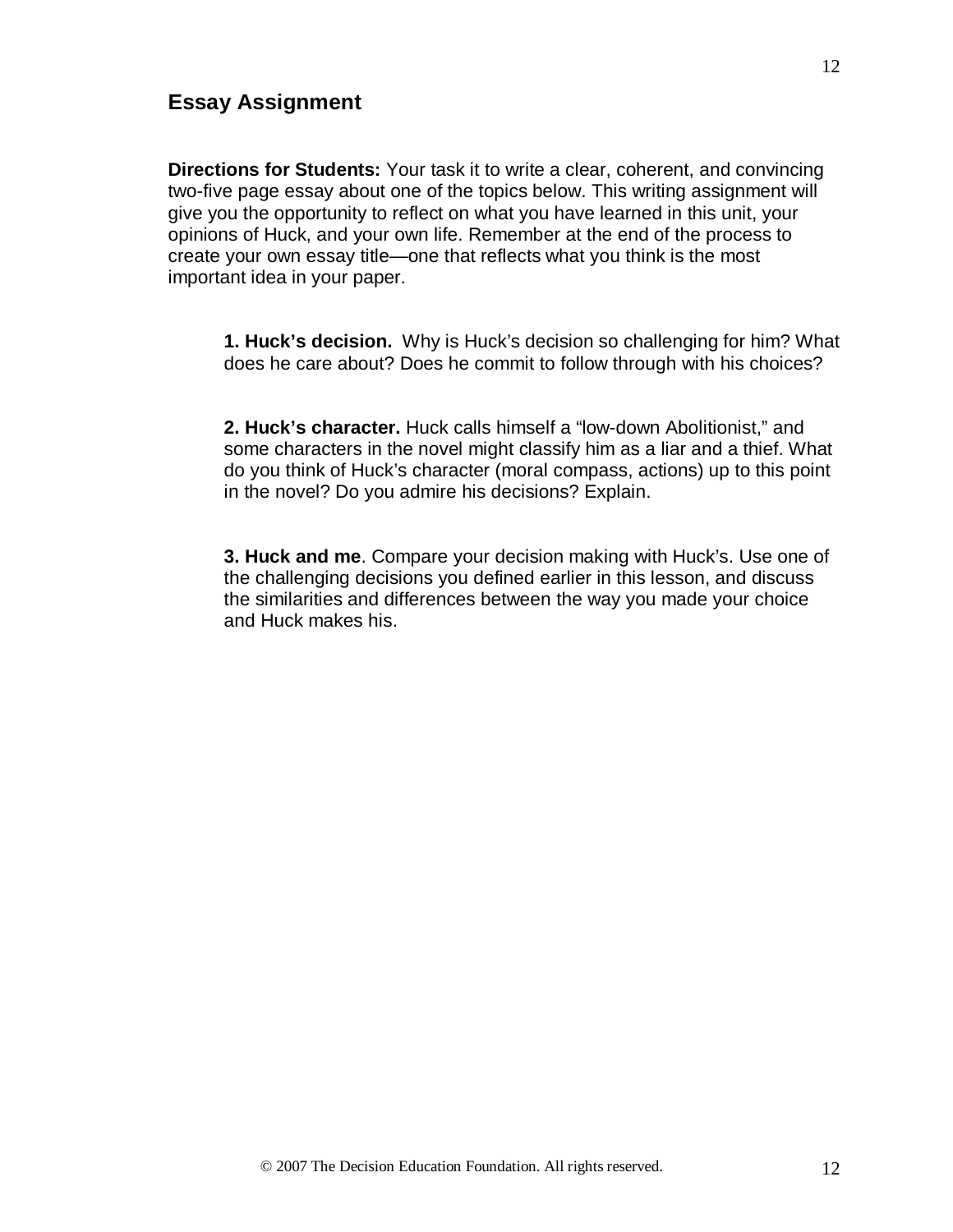### **Essay Assignment**

**Directions for Students:** Your task it to write a clear, coherent, and convincing two-five page essay about one of the topics below. This writing assignment will give you the opportunity to reflect on what you have learned in this unit, your opinions of Huck, and your own life. Remember at the end of the process to create your own essay title—one that reflects what you think is the most important idea in your paper.

**1. Huck's decision.** Why is Huck's decision so challenging for him? What does he care about? Does he commit to follow through with his choices?

**2. Huck's character.** Huck calls himself a "low-down Abolitionist," and some characters in the novel might classify him as a liar and a thief. What do you think of Huck's character (moral compass, actions) up to this point in the novel? Do you admire his decisions? Explain.

**3. Huck and me**. Compare your decision making with Huck's. Use one of the challenging decisions you defined earlier in this lesson, and discuss the similarities and differences between the way you made your choice and Huck makes his.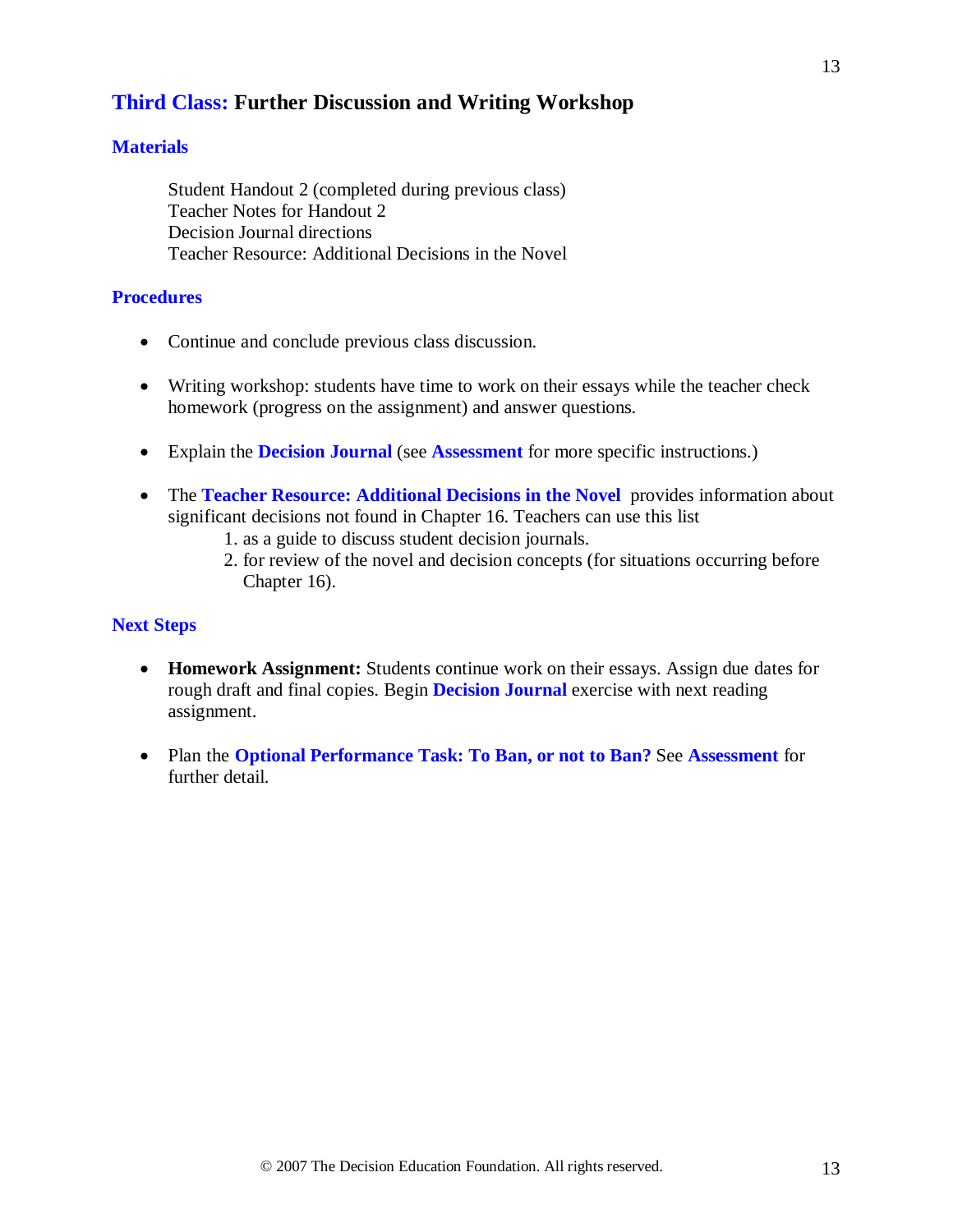### **Third Class: Further Discussion and Writing Workshop**

#### **Materials**

Student Handout 2 (completed during previous class) Teacher Notes for Handout 2 Decision Journal directions Teacher Resource: Additional Decisions in the Novel

#### **Procedures**

- Continue and conclude previous class discussion.
- Writing workshop: students have time to work on their essays while the teacher check homework (progress on the assignment) and answer questions.
- Explain the **Decision Journal** (see **Assessment** for more specific instructions.)
- The **Teacher Resource: Additional Decisions in the Novel** provides information about significant decisions not found in Chapter 16. Teachers can use this list
	- 1. as a guide to discuss student decision journals.
	- 2. for review of the novel and decision concepts (for situations occurring before Chapter 16).

#### **Next Steps**

- **Homework Assignment:** Students continue work on their essays. Assign due dates for rough draft and final copies. Begin **Decision Journal** exercise with next reading assignment.
- Plan the **Optional Performance Task: To Ban, or not to Ban?** See **Assessment** for further detail.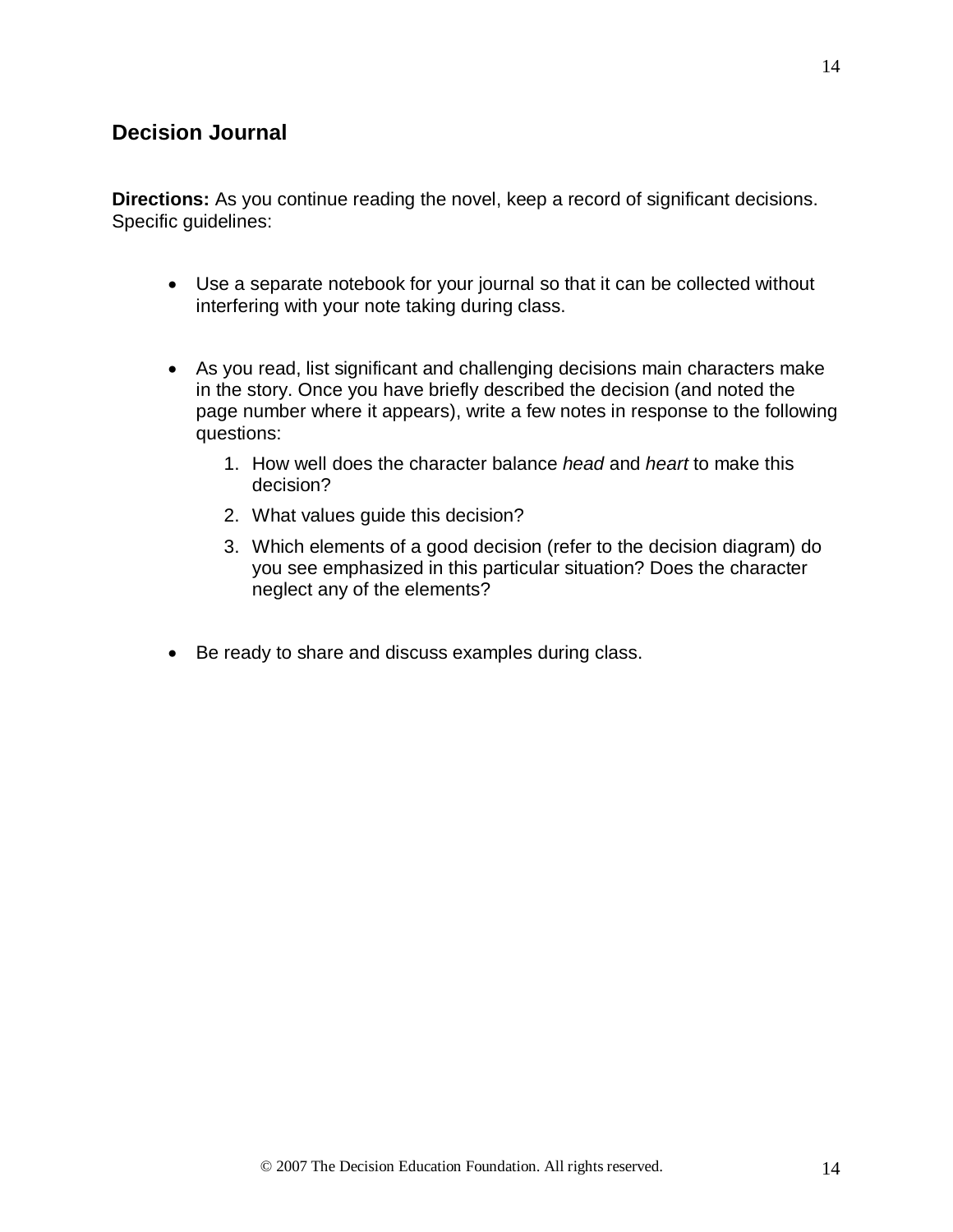### **Decision Journal**

**Directions:** As you continue reading the novel, keep a record of significant decisions. Specific guidelines:

- Use a separate notebook for your journal so that it can be collected without interfering with your note taking during class.
- As you read, list significant and challenging decisions main characters make in the story. Once you have briefly described the decision (and noted the page number where it appears), write a few notes in response to the following questions:
	- 1. How well does the character balance *head* and *heart* to make this decision?
	- 2. What values guide this decision?
	- 3. Which elements of a good decision (refer to the decision diagram) do you see emphasized in this particular situation? Does the character neglect any of the elements?
- Be ready to share and discuss examples during class.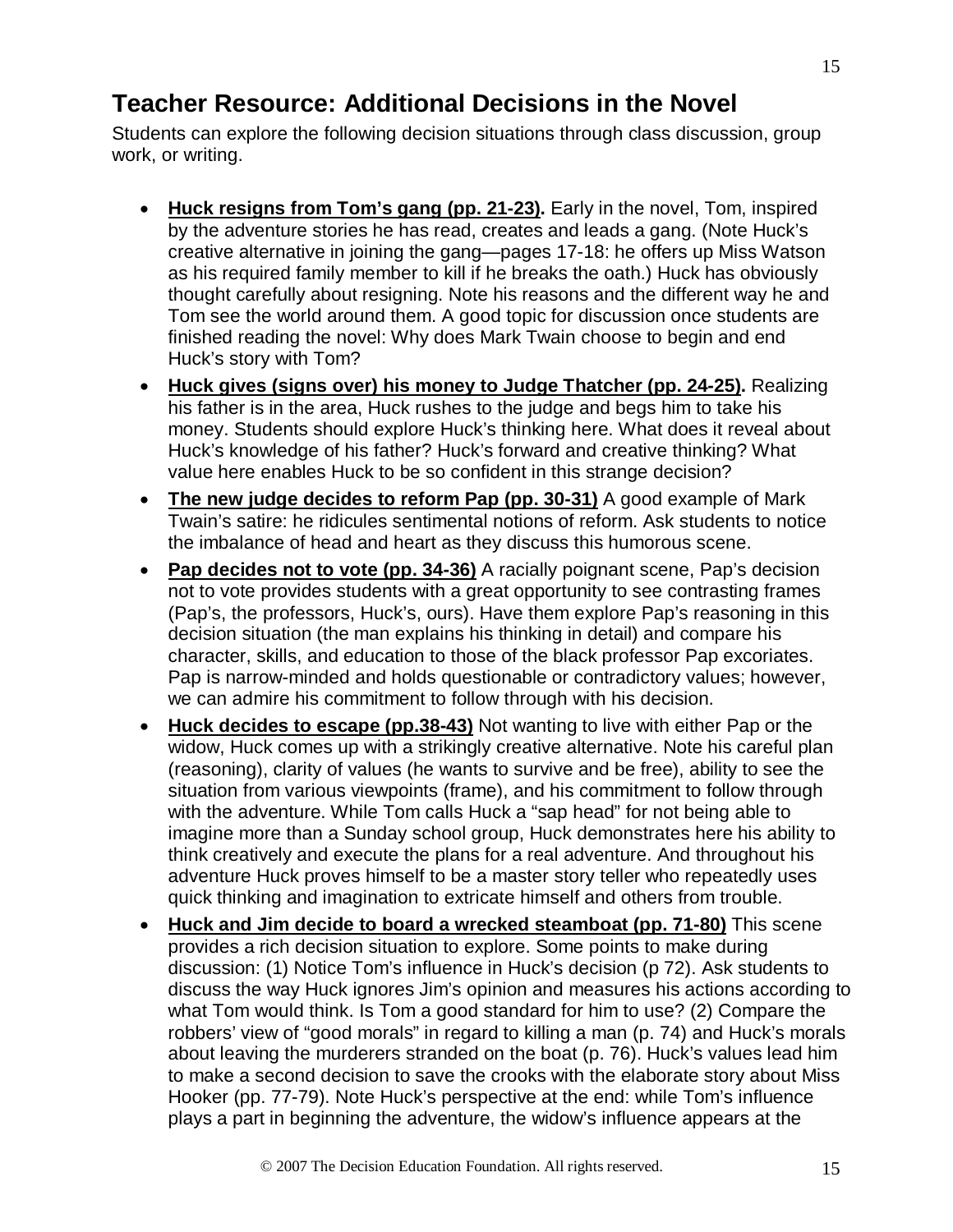# **Teacher Resource: Additional Decisions in the Novel**

Students can explore the following decision situations through class discussion, group work, or writing.

- **Huck resigns from Tom's gang (pp. 21-23) .** Early in the novel, Tom, inspired by the adventure stories he has read, creates and leads a gang. (Note Huck's creative alternative in joining the gang—pages 17-18: he offers up Miss Watson as his required family member to kill if he breaks the oath.) Huck has obviously thought carefully about resigning. Note his reasons and the different way he and Tom see the world around them. A good topic for discussion once students are finished reading the novel: Why does Mark Twain choose to begin and end Huck's story with Tom?
- **Huck gives (signs over) his money to Judge Thatcher (pp. 24-25) .** Realizing his father is in the area, Huck rushes to the judge and begs him to take his money. Students should explore Huck's thinking here. What does it reveal about Huck's knowledge of his father? Huck's forward and creative thinking? What value here enables Huck to be so confident in this strange decision?
- **The new judge decides to reform Pap (pp. 30-31)** A good example of Mark Twain's satire: he ridicules sentimental notions of reform. Ask students to notice the imbalance of head and heart as they discuss this humorous scene.
- **Pap decides not to vote (pp. 34-36)** A racially poignant scene, Pap's decision not to vote provides students with a great opportunity to see contrasting frames (Pap's, the professors, Huck's, ours). Have them explore Pap's reasoning in this decision situation (the man explains his thinking in detail) and compare his character, skills, and education to those of the black professor Pap excoriates. Pap is narrow-minded and holds questionable or contradictory values; however, we can admire his commitment to follow through with his decision.
- Huck decides to escape (pp.38-43) Not wanting to live with either Pap or the widow, Huck comes up with a strikingly creative alternative. Note his careful plan (reasoning), clarity of values (he wants to survive and be free), ability to see the situation from various viewpoints (frame), and his commitment to follow through with the adventure. While Tom calls Huck a "sap head" for not being able to imagine more than a Sunday school group, Huck demonstrates here his ability to think creatively and execute the plans for a real adventure. And throughout his adventure Huck proves himself to be a master story teller who repeatedly uses quick thinking and imagination to extricate himself and others from trouble.
- **Huck and Jim decide to board a wrecked steamboat (pp. 71-80)** This scene provides a rich decision situation to explore. Some points to make during discussion: (1) Notice Tom's influence in Huck's decision (p 72). Ask students to discuss the way Huck ignores Jim's opinion and measures his actions according to what Tom would think. Is Tom a good standard for him to use? (2) Compare the robbers' view of "good morals" in regard to killing a man (p. 74) and Huck's morals about leaving the murderers stranded on the boat (p. 76). Huck's values lead him to make a second decision to save the crooks with the elaborate story about Miss Hooker (pp. 77-79). Note Huck's perspective at the end: while Tom's influence plays a part in beginning the adventure, the widow's influence appears at the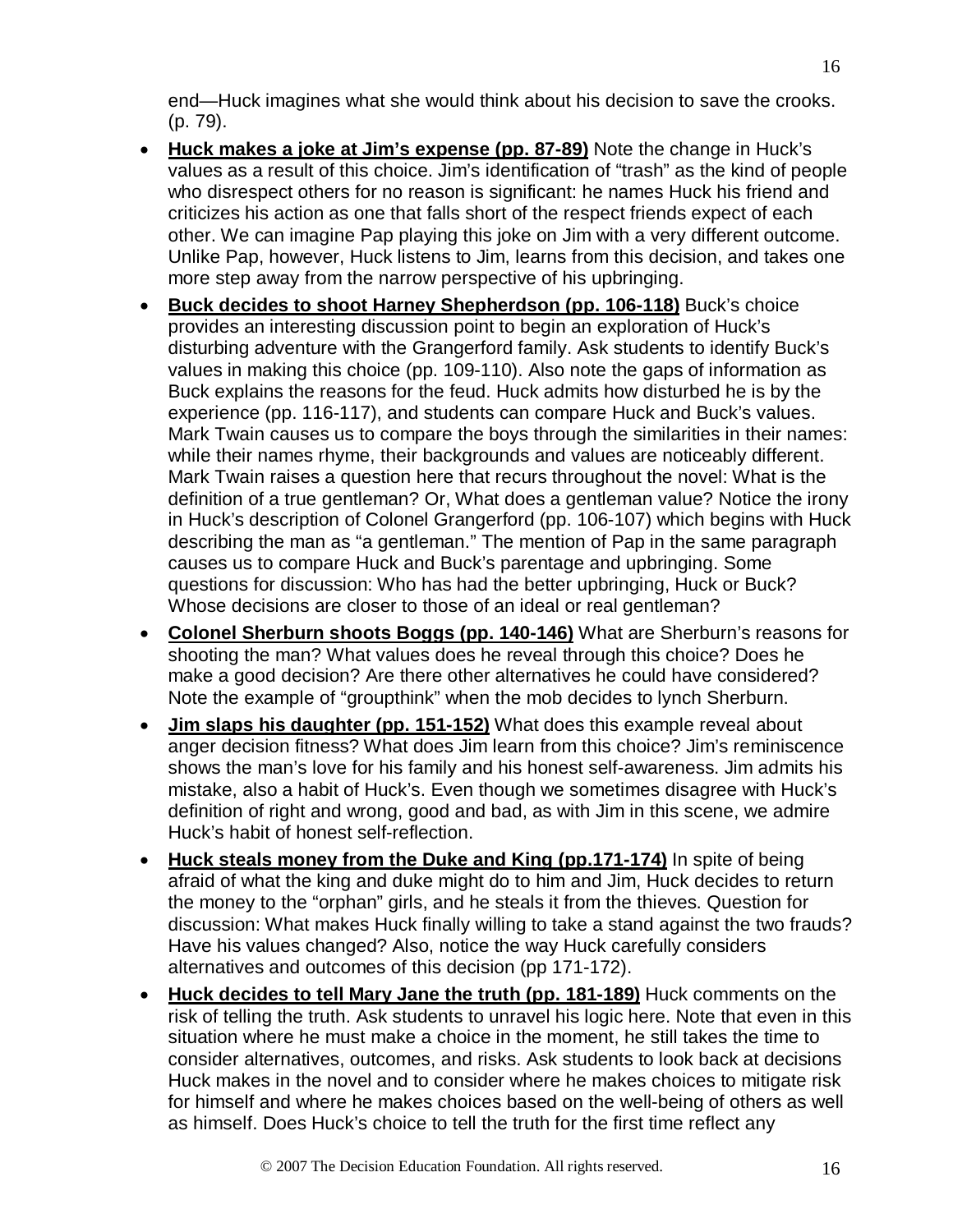end—Huck imagines what she would think about his decision to save the crooks. (p. 79).

- **Huck makes a joke at Jim's expense (pp. 87-89)** Note the change in Huck's values as a result of this choice. Jim's identification of "trash" as the kind of people who disrespect others for no reason is significant: he names Huck his friend and criticizes his action as one that falls short of the respect friends expect of each other. We can imagine Pap playing this joke on Jim with a very different outcome. Unlike Pap, however, Huck listens to Jim, learns from this decision, and takes one more step away from the narrow perspective of his upbringing.
- **Buck decides to shoot Harney Shepherdson (pp. 106-118)** Buck's choice provides an interesting discussion point to begin an exploration of Huck's disturbing adventure with the Grangerford family. Ask students to identify Buck's values in making this choice (pp. 109-110). Also note the gaps of information as Buck explains the reasons for the feud. Huck admits how disturbed he is by the experience (pp. 116-117), and students can compare Huck and Buck's values. Mark Twain causes us to compare the boys through the similarities in their names: while their names rhyme, their backgrounds and values are noticeably different. Mark Twain raises a question here that recurs throughout the novel: What is the definition of a true gentleman? Or, What does a gentleman value? Notice the irony in Huck's description of Colonel Grangerford (pp. 106-107) which begins with Huck describing the man as "a gentleman." The mention of Pap in the same paragraph causes us to compare Huck and Buck's parentage and upbringing. Some questions for discussion: Who has had the better upbringing, Huck or Buck? Whose decisions are closer to those of an ideal or real gentleman?
- **Colonel Sherburn shoots Boggs (pp. 140-146)** What are Sherburn's reasons for shooting the man? What values does he reveal through this choice? Does he make a good decision? Are there other alternatives he could have considered? Note the example of "groupthink" when the mob decides to lynch Sherburn.
- **Jim slaps his daughter (pp. 151-152)** What does this example reveal about anger decision fitness? What does Jim learn from this choice? Jim's reminiscence shows the man's love for his family and his honest self-awareness. Jim admits his mistake, also a habit of Huck's. Even though we sometimes disagree with Huck's definition of right and wrong, good and bad, as with Jim in this scene, we admire Huck's habit of honest self-reflection.
- Huck steals money from the Duke and King (pp.171-174) In spite of being afraid of what the king and duke might do to him and Jim, Huck decides to return the money to the "orphan" girls, and he steals it from the thieves. Question for discussion: What makes Huck finally willing to take a stand against the two frauds? Have his values changed? Also, notice the way Huck carefully considers alternatives and outcomes of this decision (pp 171-172).
- **Huck decides to tell Mary Jane the truth (pp. 181-189)** Huck comments on the risk of telling the truth. Ask students to unravel his logic here. Note that even in this situation where he must make a choice in the moment, he still takes the time to consider alternatives, outcomes, and risks. Ask students to look back at decisions Huck makes in the novel and to consider where he makes choices to mitigate risk for himself and where he makes choices based on the well-being of others as well as himself. Does Huck's choice to tell the truth for the first time reflect any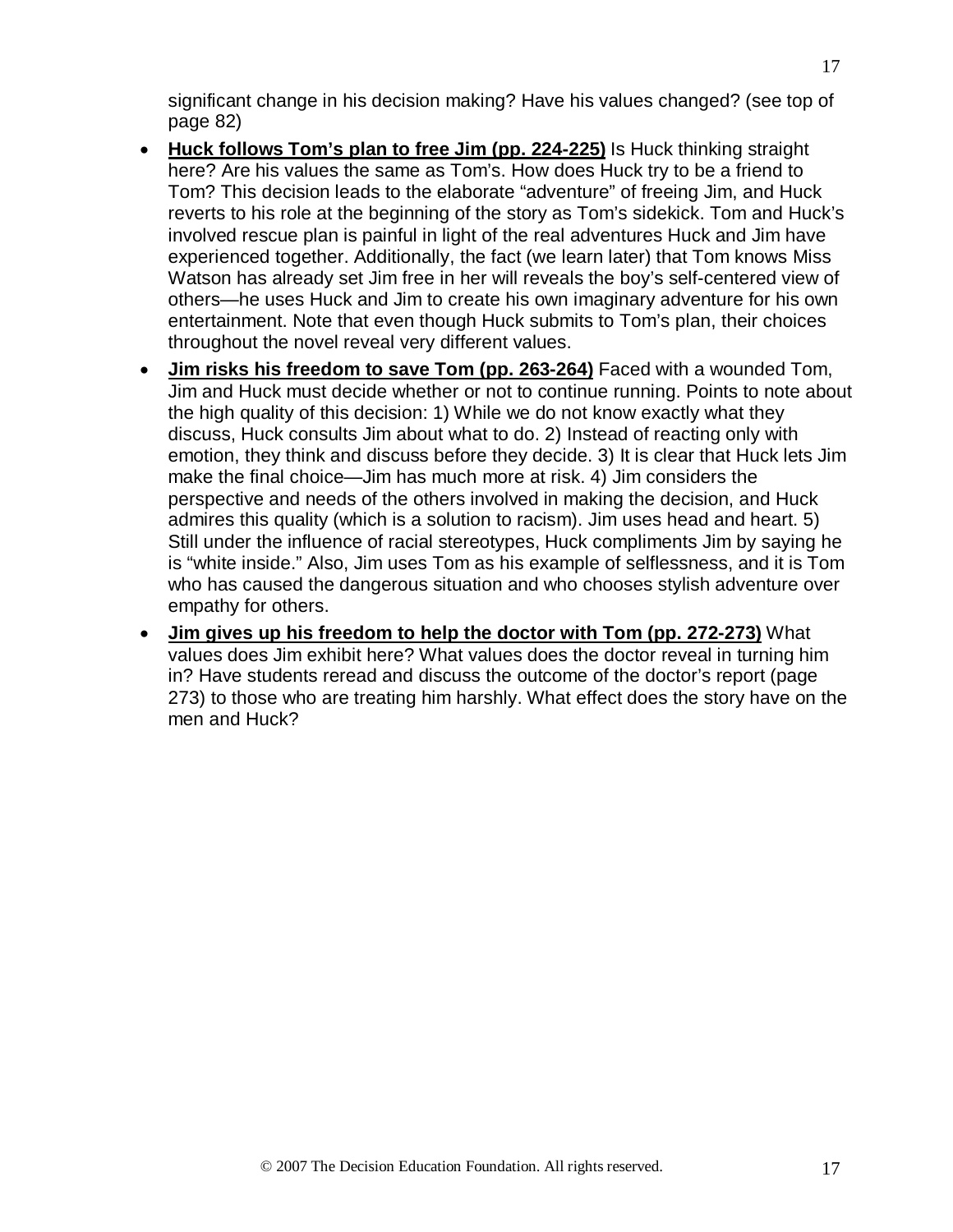significant change in his decision making? Have his values changed? (see top of page 82)

- **Huck follows Tom's plan to free Jim (pp. 224-225)** Is Huck thinking straight here? Are his values the same as Tom's. How does Huck try to be a friend to Tom? This decision leads to the elaborate "adventure" of freeing Jim, and Huck reverts to his role at the beginning of the story as Tom's sidekick. Tom and Huck's involved rescue plan is painful in light of the real adventures Huck and Jim have experienced together. Additionally, the fact (we learn later) that Tom knows Miss Watson has already set Jim free in her will reveals the boy's self-centered view of others—he uses Huck and Jim to create his own imaginary adventure for his own entertainment. Note that even though Huck submits to Tom's plan, their choices throughout the novel reveal very different values.
- **Jim risks his freedom to save Tom (pp. 263-264)** Faced with a wounded Tom, Jim and Huck must decide whether or not to continue running. Points to note about the high quality of this decision: 1) While we do not know exactly what they discuss, Huck consults Jim about what to do. 2) Instead of reacting only with emotion, they think and discuss before they decide. 3) It is clear that Huck lets Jim make the final choice—Jim has much more at risk. 4) Jim considers the perspective and needs of the others involved in making the decision, and Huck admires this quality (which is a solution to racism). Jim uses head and heart. 5) Still under the influence of racial stereotypes, Huck compliments Jim by saying he is "white inside." Also, Jim uses Tom as his example of selflessness, and it is Tom who has caused the dangerous situation and who chooses stylish adventure over empathy for others.
- **Jim gives up his freedom to help the doctor with Tom (pp. 272-273)** What values does Jim exhibit here? What values does the doctor reveal in turning him in? Have students reread and discuss the outcome of the doctor's report (page 273) to those who are treating him harshly. What effect does the story have on the men and Huck?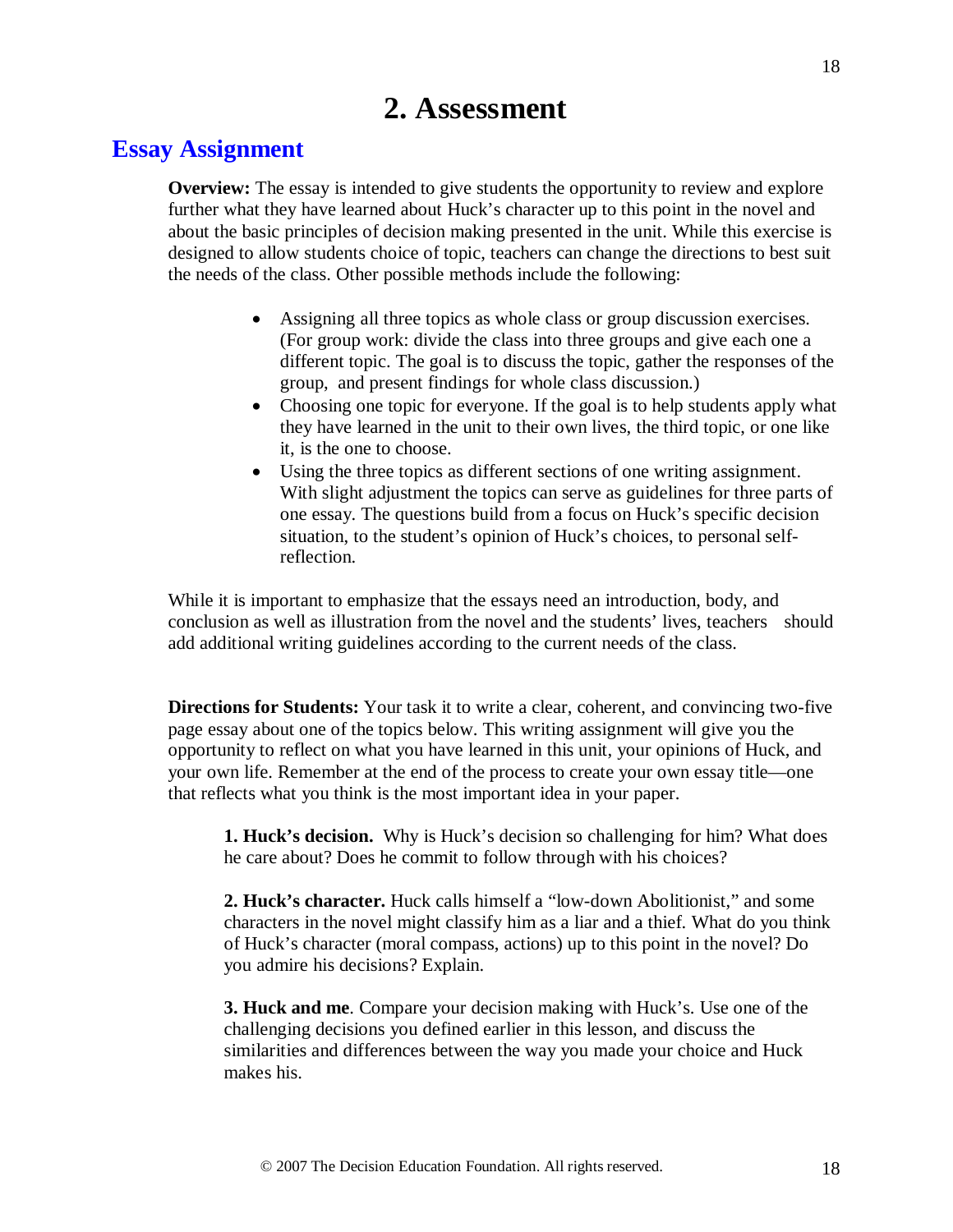# **2. Assessment**

# **Essay Assignment**

**Overview:** The essay is intended to give students the opportunity to review and explore further what they have learned about Huck's character up to this point in the novel and about the basic principles of decision making presented in the unit. While this exercise is designed to allow students choice of topic, teachers can change the directions to best suit the needs of the class. Other possible methods include the following:

- Assigning all three topics as whole class or group discussion exercises. (For group work: divide the class into three groups and give each one a different topic. The goal is to discuss the topic, gather the responses of the group, and present findings for whole class discussion.)
- Choosing one topic for everyone. If the goal is to help students apply what they have learned in the unit to their own lives, the third topic, or one like it, is the one to choose.
- Using the three topics as different sections of one writing assignment. With slight adjustment the topics can serve as guidelines for three parts of one essay. The questions build from a focus on Huck's specific decision situation, to the student's opinion of Huck's choices, to personal selfreflection.

While it is important to emphasize that the essays need an introduction, body, and conclusion as well as illustration from the novel and the students' lives, teachers should add additional writing guidelines according to the current needs of the class.

**Directions for Students:** Your task it to write a clear, coherent, and convincing two-five page essay about one of the topics below. This writing assignment will give you the opportunity to reflect on what you have learned in this unit, your opinions of Huck, and your own life. Remember at the end of the process to create your own essay title—one that reflects what you think is the most important idea in your paper.

**1. Huck's decision.** Why is Huck's decision so challenging for him? What does he care about? Does he commit to follow through with his choices?

**2. Huck's character.** Huck calls himself a "low-down Abolitionist," and some characters in the novel might classify him as a liar and a thief. What do you think of Huck's character (moral compass, actions) up to this point in the novel? Do you admire his decisions? Explain.

**3. Huck and me**. Compare your decision making with Huck's. Use one of the challenging decisions you defined earlier in this lesson, and discuss the similarities and differences between the way you made your choice and Huck makes his.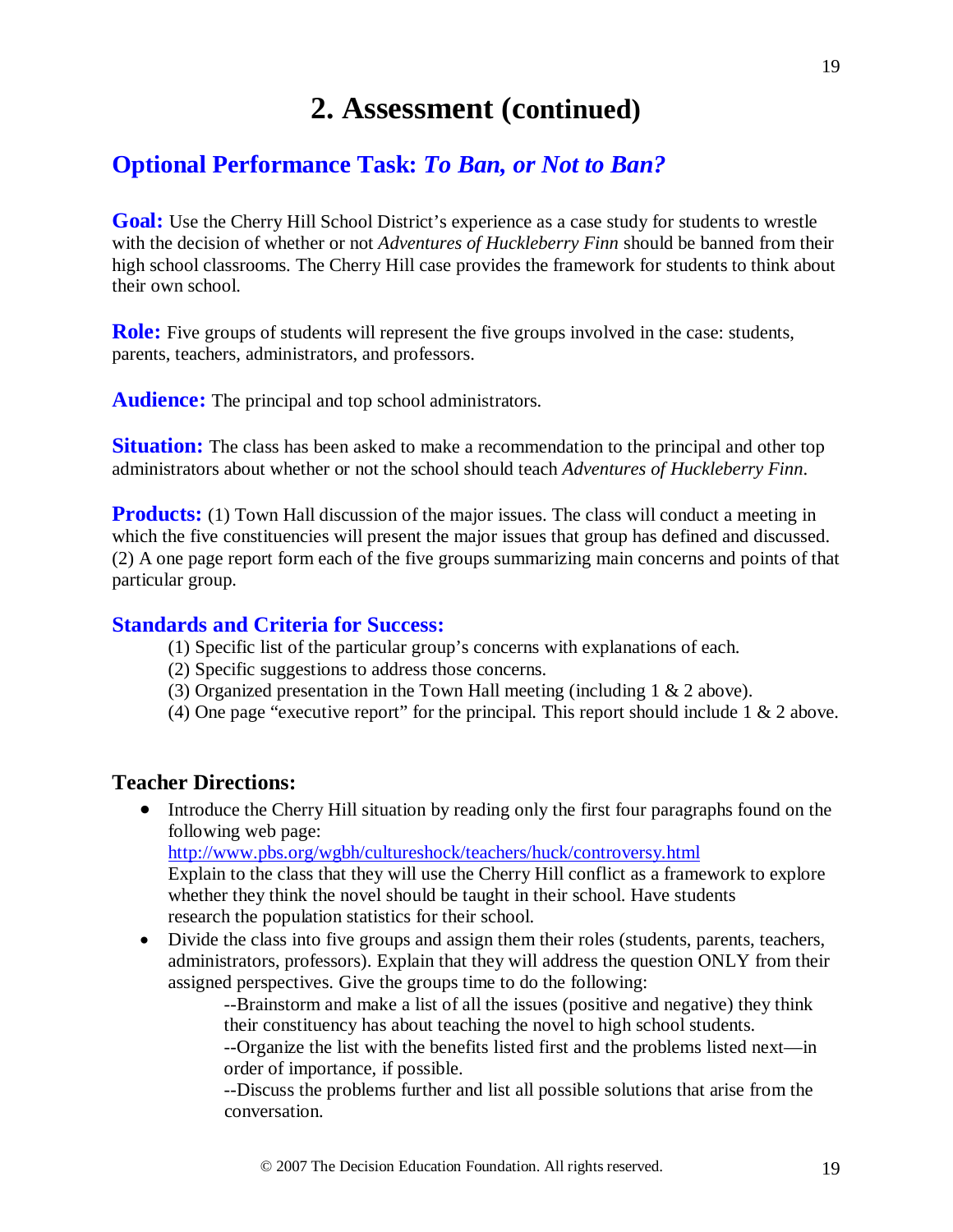# **2. Assessment (continued)**

# **Optional Performance Task:** *To Ban, or Not to Ban?*

Goal: Use the Cherry Hill School District's experience as a case study for students to wrestle with the decision of whether or not *Adventures of Huckleberry Finn* should be banned from their high school classrooms. The Cherry Hill case provides the framework for students to think about their own school.

**Role:** Five groups of students will represent the five groups involved in the case: students, parents, teachers, administrators, and professors.

**Audience:** The principal and top school administrators.

**Situation:** The class has been asked to make a recommendation to the principal and other top administrators about whether or not the school should teach *Adventures of Huckleberry Finn*.

**Products:** (1) Town Hall discussion of the major issues. The class will conduct a meeting in which the five constituencies will present the major issues that group has defined and discussed. (2) A one page report form each of the five groups summarizing main concerns and points of that particular group.

#### **Standards and Criteria for Success:**

- (1) Specific list of the particular group's concerns with explanations of each.
- (2) Specific suggestions to address those concerns.
- (3) Organized presentation in the Town Hall meeting (including 1 & 2 above).
- (4) One page "executive report" for the principal. This report should include  $1 \& 2$  above.

#### **Teacher Directions:**

• Introduce the Cherry Hill situation by reading only the first four paragraphs found on the following web page:

<http://www.pbs.org/wgbh/cultureshock/teachers/huck/controversy.html>

Explain to the class that they will use the Cherry Hill conflict as a framework to explore whether they think the novel should be taught in their school. Have students research the population statistics for their school.

• Divide the class into five groups and assign them their roles (students, parents, teachers, administrators, professors). Explain that they will address the question ONLY from their assigned perspectives. Give the groups time to do the following:

> --Brainstorm and make a list of all the issues (positive and negative) they think their constituency has about teaching the novel to high school students.

> --Organize the list with the benefits listed first and the problems listed next—in order of importance, if possible.

> --Discuss the problems further and list all possible solutions that arise from the conversation.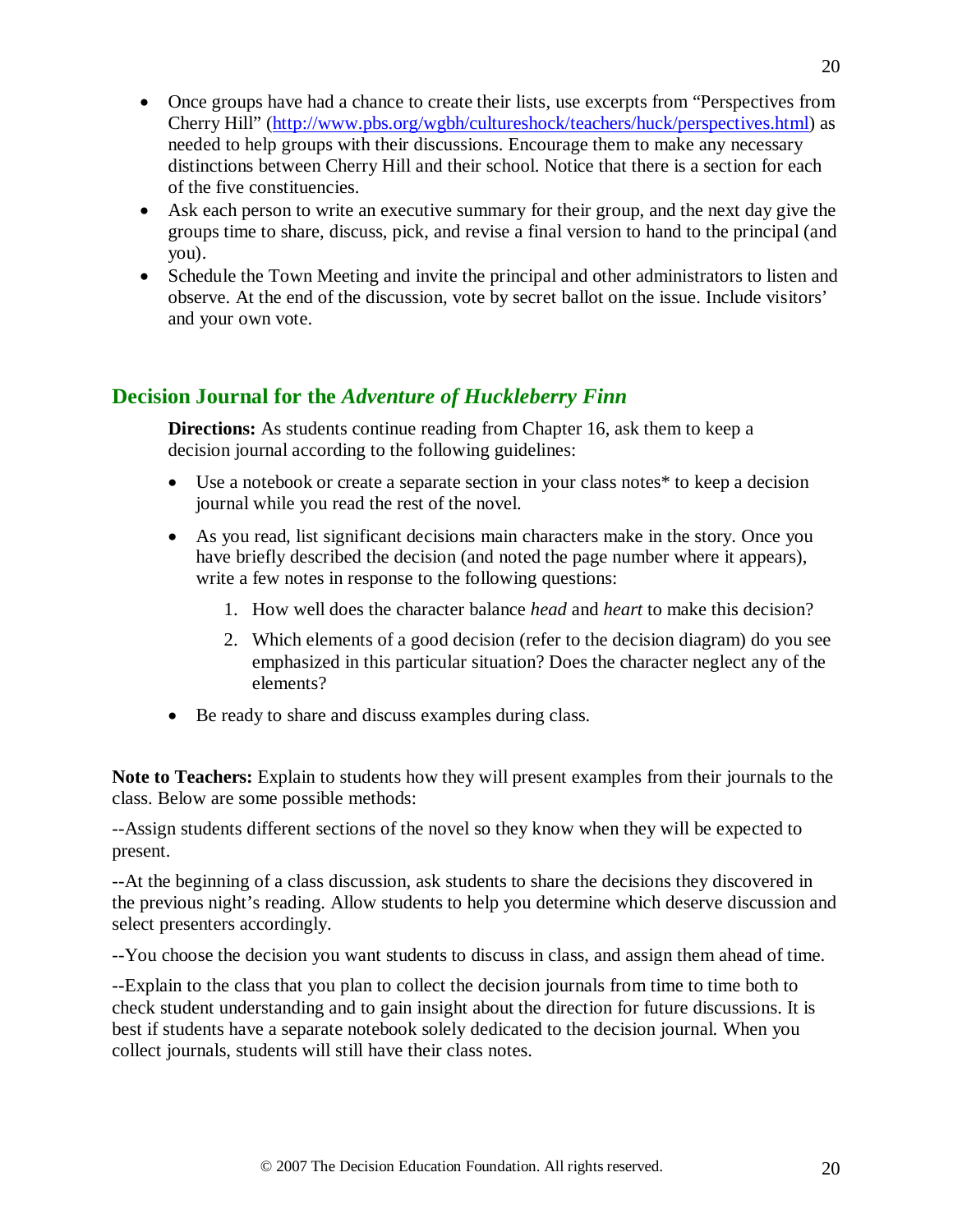- Once groups have had a chance to create their lists, use excerpts from "Perspectives from Cherry Hill" [\(http://www.pbs.org/wgbh/cultureshock/teachers/huck/perspectives.html\)](http://www.pbs.org/wgbh/cultureshock/teachers/huck/perspectives.html) as needed to help groups with their discussions. Encourage them to make any necessary distinctions between Cherry Hill and their school. Notice that there is a section for each of the five constituencies.
- Ask each person to write an executive summary for their group, and the next day give the groups time to share, discuss, pick, and revise a final version to hand to the principal (and you).
- Schedule the Town Meeting and invite the principal and other administrators to listen and observe. At the end of the discussion, vote by secret ballot on the issue. Include visitors' and your own vote.

## **Decision Journal for the** *Adventure of Huckleberry Finn*

**Directions:** As students continue reading from Chapter 16, ask them to keep a decision journal according to the following guidelines:

- Use a notebook or create a separate section in your class notes<sup>\*</sup> to keep a decision journal while you read the rest of the novel.
- As you read, list significant decisions main characters make in the story. Once you have briefly described the decision (and noted the page number where it appears), write a few notes in response to the following questions:
	- 1. How well does the character balance *head* and *heart* to make this decision?
	- 2. Which elements of a good decision (refer to the decision diagram) do you see emphasized in this particular situation? Does the character neglect any of the elements?
- Be ready to share and discuss examples during class.

**Note to Teachers:** Explain to students how they will present examples from their journals to the class. Below are some possible methods:

--Assign students different sections of the novel so they know when they will be expected to present.

--At the beginning of a class discussion, ask students to share the decisions they discovered in the previous night's reading. Allow students to help you determine which deserve discussion and select presenters accordingly.

--You choose the decision you want students to discuss in class, and assign them ahead of time.

--Explain to the class that you plan to collect the decision journals from time to time both to check student understanding and to gain insight about the direction for future discussions. It is best if students have a separate notebook solely dedicated to the decision journal. When you collect journals, students will still have their class notes.